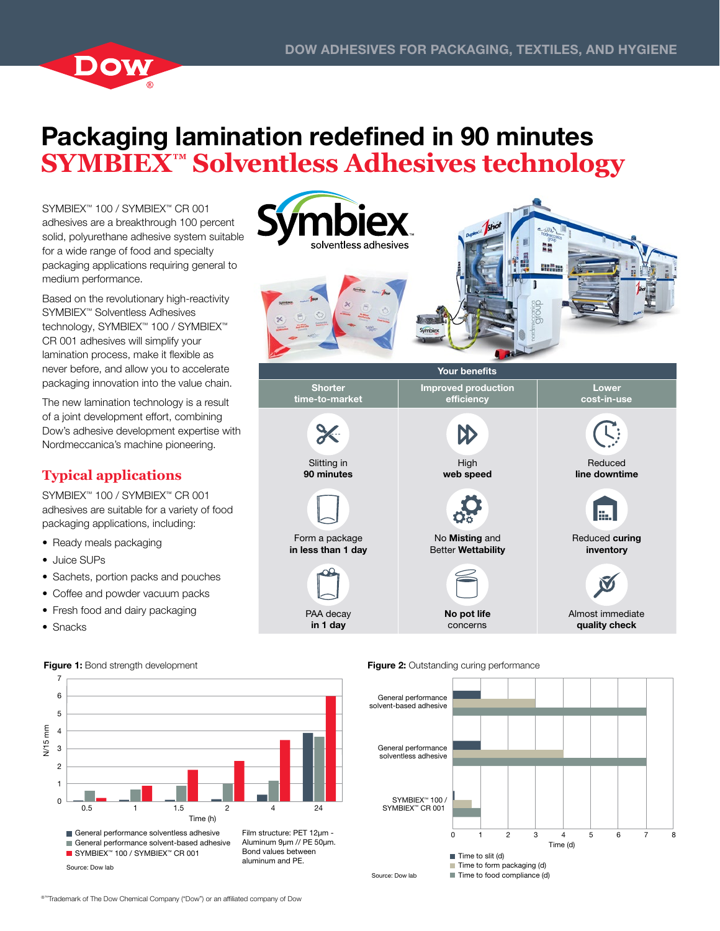

# Packaging lamination redefined in 90 minutes **SYMBIEX™ Solventless Adhesives technology**

SYMBIEX™ 100 / SYMBIEX™ CR 001 adhesives are a breakthrough 100 percent solid, polyurethane adhesive system suitable for a wide range of food and specialty packaging applications requiring general to medium performance.

Based on the revolutionary high-reactivity SYMBIEX™ Solventless Adhesives technology, SYMBIEX™ 100 / SYMBIEX™ CR 001 adhesives will simplify your lamination process, make it flexible as never before, and allow you to accelerate packaging innovation into the value chain.

The new lamination technology is a result of a joint development effort, combining Dow's adhesive development expertise with Nordmeccanica's machine pioneering.

## **Typical applications**

SYMBIEX™ 100 / SYMBIEX™ CR 001 adhesives are suitable for a variety of food packaging applications, including:

- Ready meals packaging
- Juice SUPs
- Sachets, portion packs and pouches
- Coffee and powder vacuum packs
- Fresh food and dairy packaging
- Snacks

Source: Dow lab



Aluminum 9µm // PE 50µm. aluminum and PE.

PAA decay in 1 day



Almost immediate quality check

No pot life concerns



### ®™Trademark of The Dow Chemical Company ("Dow") or an affiliated company of Dow